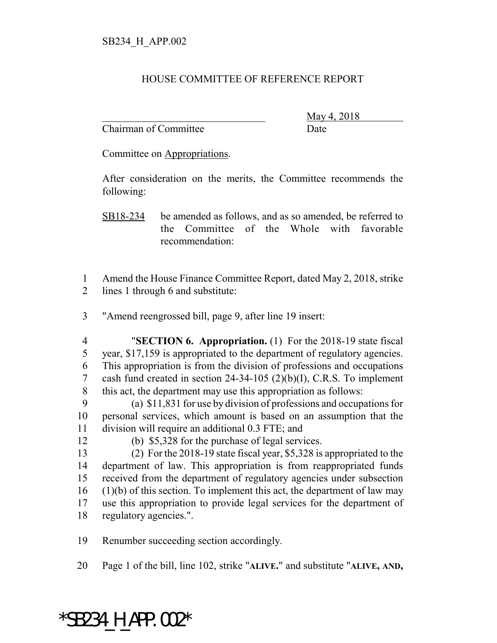## HOUSE COMMITTEE OF REFERENCE REPORT

Chairman of Committee Date

\_\_\_\_\_\_\_\_\_\_\_\_\_\_\_\_\_\_\_\_\_\_\_\_\_\_\_\_\_\_\_ May 4, 2018

Committee on Appropriations.

After consideration on the merits, the Committee recommends the following:

- SB18-234 be amended as follows, and as so amended, be referred to the Committee of the Whole with favorable recommendation:
- Amend the House Finance Committee Report, dated May 2, 2018, strike lines 1 through 6 and substitute:
- "Amend reengrossed bill, page 9, after line 19 insert:
- "**SECTION 6. Appropriation.** (1) For the 2018-19 state fiscal year, \$17,159 is appropriated to the department of regulatory agencies. This appropriation is from the division of professions and occupations cash fund created in section 24-34-105 (2)(b)(I), C.R.S. To implement this act, the department may use this appropriation as follows:
- (a) \$11,831 for use by division of professions and occupations for personal services, which amount is based on an assumption that the division will require an additional 0.3 FTE; and
- 
- (b) \$5,328 for the purchase of legal services.
- (2) For the 2018-19 state fiscal year, \$5,328 is appropriated to the department of law. This appropriation is from reappropriated funds received from the department of regulatory agencies under subsection (1)(b) of this section. To implement this act, the department of law may use this appropriation to provide legal services for the department of regulatory agencies.".
- Renumber succeeding section accordingly.
- Page 1 of the bill, line 102, strike "**ALIVE.**" and substitute "**ALIVE, AND,**

## $*$ SB234 H APP.002 $*$